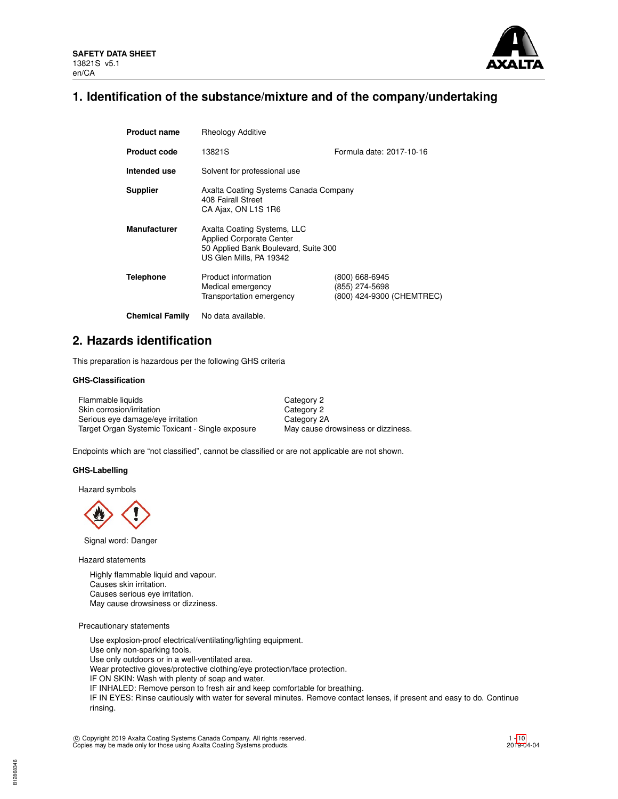

### **1. Identification of the substance/mixture and of the company/undertaking**

| <b>Product name</b>    | <b>Rheology Additive</b>                                                                                                          |                                                               |  |  |  |  |
|------------------------|-----------------------------------------------------------------------------------------------------------------------------------|---------------------------------------------------------------|--|--|--|--|
| <b>Product code</b>    | 13821S                                                                                                                            | Formula date: 2017-10-16                                      |  |  |  |  |
| Intended use           | Solvent for professional use                                                                                                      |                                                               |  |  |  |  |
| <b>Supplier</b>        | Axalta Coating Systems Canada Company<br>408 Fairall Street<br>CA Ajax, ON L1S 1R6                                                |                                                               |  |  |  |  |
| <b>Manufacturer</b>    | Axalta Coating Systems, LLC<br><b>Applied Corporate Center</b><br>50 Applied Bank Boulevard, Suite 300<br>US Glen Mills, PA 19342 |                                                               |  |  |  |  |
| <b>Telephone</b>       | Product information<br>Medical emergency<br>Transportation emergency                                                              | (800) 668-6945<br>(855) 274-5698<br>(800) 424-9300 (CHEMTREC) |  |  |  |  |
| <b>Chemical Family</b> | No data available.                                                                                                                |                                                               |  |  |  |  |

### **2. Hazards identification**

This preparation is hazardous per the following GHS criteria

### **GHS-Classification**

| Flammable liquids                                | Category 2                         |
|--------------------------------------------------|------------------------------------|
| Skin corrosion/irritation                        | Category 2                         |
| Serious eye damage/eye irritation                | Category 2A                        |
| Target Organ Systemic Toxicant - Single exposure | May cause drowsiness or dizziness. |

Endpoints which are "not classified", cannot be classified or are not applicable are not shown.

#### **GHS-Labelling**

Hazard symbols



Signal word: Danger

Hazard statements

Highly flammable liquid and vapour. Causes skin irritation. Causes serious eye irritation. May cause drowsiness or dizziness.

Precautionary statements

Use explosion-proof electrical/ventilating/lighting equipment. Use only non-sparking tools. Use only outdoors or in a well-ventilated area. Wear protective gloves/protective clothing/eye protection/face protection. IF ON SKIN: Wash with plenty of soap and water. IF INHALED: Remove person to fresh air and keep comfortable for breathing. IF IN EYES: Rinse cautiously with water for several minutes. Remove contact lenses, if present and easy to do. Continue rinsing.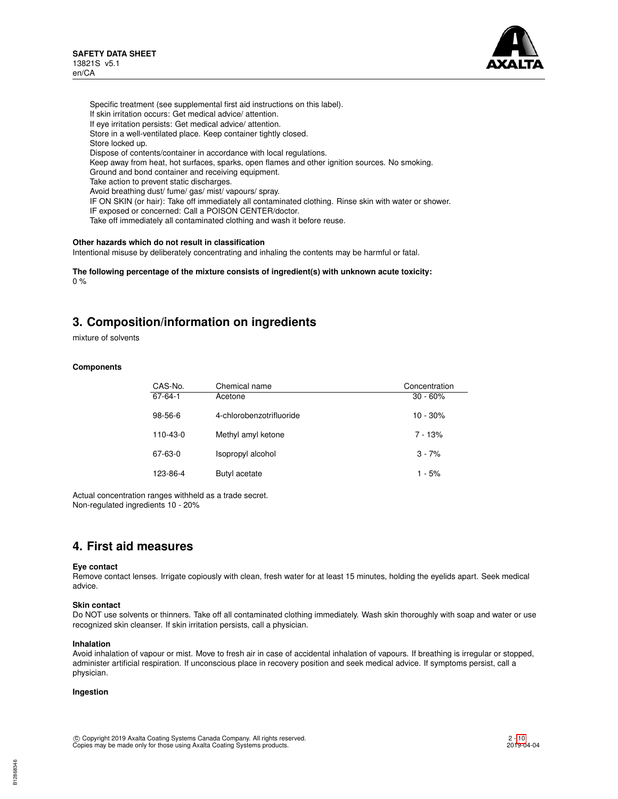

Specific treatment (see supplemental first aid instructions on this label). If skin irritation occurs: Get medical advice/ attention. If eye irritation persists: Get medical advice/ attention. Store in a well-ventilated place. Keep container tightly closed. Store locked up. Dispose of contents/container in accordance with local regulations. Keep away from heat, hot surfaces, sparks, open flames and other ignition sources. No smoking. Ground and bond container and receiving equipment. Take action to prevent static discharges. Avoid breathing dust/ fume/ gas/ mist/ vapours/ spray. IF ON SKIN (or hair): Take off immediately all contaminated clothing. Rinse skin with water or shower. IF exposed or concerned: Call a POISON CENTER/doctor. Take off immediately all contaminated clothing and wash it before reuse.

### **Other hazards which do not result in classification**

Intentional misuse by deliberately concentrating and inhaling the contents may be harmful or fatal.

**The following percentage of the mixture consists of ingredient(s) with unknown acute toxicity:**  $0 %$ 

### **3. Composition/information on ingredients**

mixture of solvents

#### **Components**

| CAS-No.   | Chemical name            | Concentration |
|-----------|--------------------------|---------------|
| 67-64-1   | Acetone                  | $30 - 60\%$   |
| $98-56-6$ | 4-chlorobenzotrifluoride | $10 - 30%$    |
| 110-43-0  | Methyl amyl ketone       | $7 - 13%$     |
| 67-63-0   | Isopropyl alcohol        | $3 - 7%$      |
| 123-86-4  | Butyl acetate            | $1 - 5%$      |

Actual concentration ranges withheld as a trade secret. Non-regulated ingredients 10 - 20%

### **4. First aid measures**

#### **Eye contact**

Remove contact lenses. Irrigate copiously with clean, fresh water for at least 15 minutes, holding the eyelids apart. Seek medical advice.

#### **Skin contact**

Do NOT use solvents or thinners. Take off all contaminated clothing immediately. Wash skin thoroughly with soap and water or use recognized skin cleanser. If skin irritation persists, call a physician.

#### **Inhalation**

Avoid inhalation of vapour or mist. Move to fresh air in case of accidental inhalation of vapours. If breathing is irregular or stopped, administer artificial respiration. If unconscious place in recovery position and seek medical advice. If symptoms persist, call a physician.

#### **Ingestion**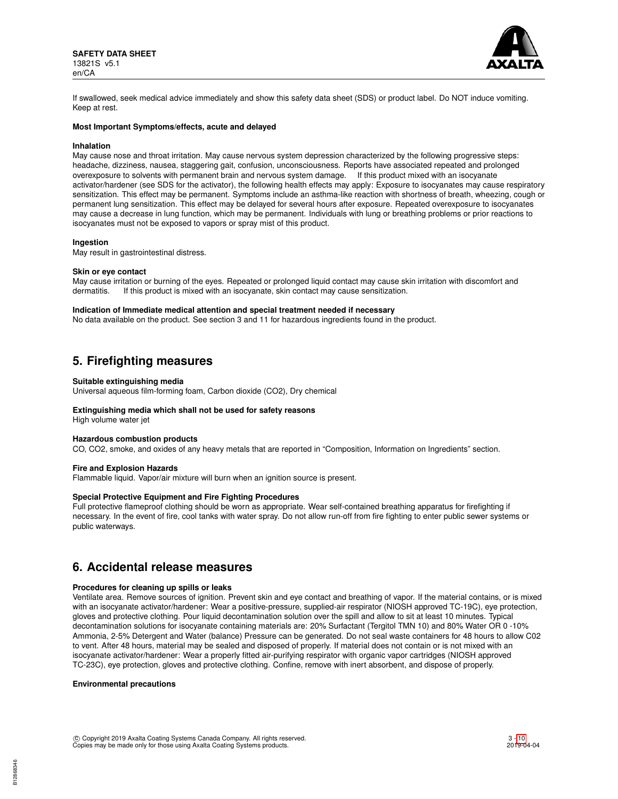

If swallowed, seek medical advice immediately and show this safety data sheet (SDS) or product label. Do NOT induce vomiting. Keep at rest.

#### **Most Important Symptoms/effects, acute and delayed**

#### **Inhalation**

May cause nose and throat irritation. May cause nervous system depression characterized by the following progressive steps: headache, dizziness, nausea, staggering gait, confusion, unconsciousness. Reports have associated repeated and prolonged overexposure to solvents with permanent brain and nervous system damage. If this product mixed with an isocyanate activator/hardener (see SDS for the activator), the following health effects may apply: Exposure to isocyanates may cause respiratory sensitization. This effect may be permanent. Symptoms include an asthma-like reaction with shortness of breath, wheezing, cough or permanent lung sensitization. This effect may be delayed for several hours after exposure. Repeated overexposure to isocyanates may cause a decrease in lung function, which may be permanent. Individuals with lung or breathing problems or prior reactions to isocyanates must not be exposed to vapors or spray mist of this product.

#### **Ingestion**

May result in gastrointestinal distress.

#### **Skin or eye contact**

May cause irritation or burning of the eyes. Repeated or prolonged liquid contact may cause skin irritation with discomfort and dermatitis. If this product is mixed with an isocyanate, skin contact may cause sensitization.

#### **Indication of Immediate medical attention and special treatment needed if necessary**

No data available on the product. See section 3 and 11 for hazardous ingredients found in the product.

### **5. Firefighting measures**

#### **Suitable extinguishing media**

Universal aqueous film-forming foam, Carbon dioxide (CO2), Dry chemical

#### **Extinguishing media which shall not be used for safety reasons**

High volume water jet

#### **Hazardous combustion products**

CO, CO2, smoke, and oxides of any heavy metals that are reported in "Composition, Information on Ingredients" section.

#### **Fire and Explosion Hazards**

Flammable liquid. Vapor/air mixture will burn when an ignition source is present.

#### **Special Protective Equipment and Fire Fighting Procedures**

Full protective flameproof clothing should be worn as appropriate. Wear self-contained breathing apparatus for firefighting if necessary. In the event of fire, cool tanks with water spray. Do not allow run-off from fire fighting to enter public sewer systems or public waterways.

### **6. Accidental release measures**

#### **Procedures for cleaning up spills or leaks**

Ventilate area. Remove sources of ignition. Prevent skin and eye contact and breathing of vapor. If the material contains, or is mixed with an isocyanate activator/hardener: Wear a positive-pressure, supplied-air respirator (NIOSH approved TC-19C), eye protection, gloves and protective clothing. Pour liquid decontamination solution over the spill and allow to sit at least 10 minutes. Typical decontamination solutions for isocyanate containing materials are: 20% Surfactant (Tergitol TMN 10) and 80% Water OR 0 -10% Ammonia, 2-5% Detergent and Water (balance) Pressure can be generated. Do not seal waste containers for 48 hours to allow C02 to vent. After 48 hours, material may be sealed and disposed of properly. If material does not contain or is not mixed with an isocyanate activator/hardener: Wear a properly fitted air-purifying respirator with organic vapor cartridges (NIOSH approved TC-23C), eye protection, gloves and protective clothing. Confine, remove with inert absorbent, and dispose of properly.

#### **Environmental precautions**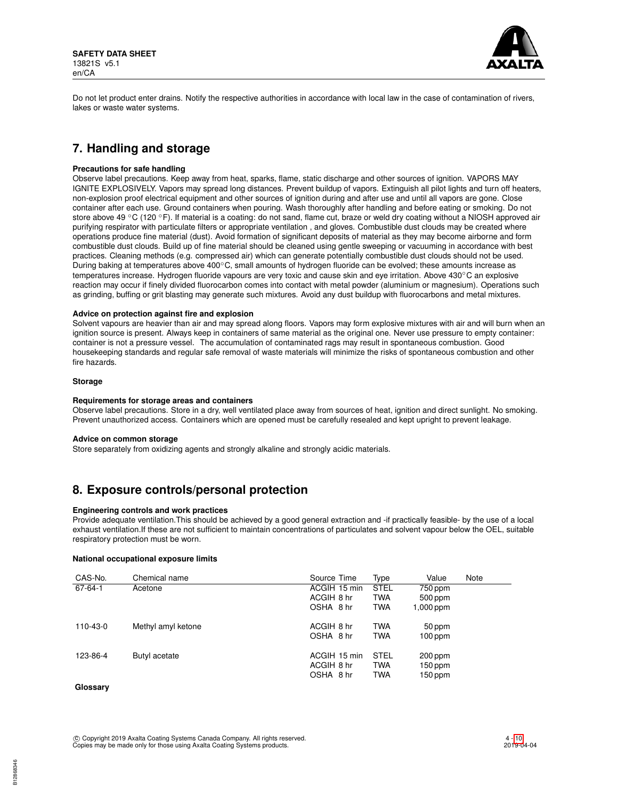

Do not let product enter drains. Notify the respective authorities in accordance with local law in the case of contamination of rivers, lakes or waste water systems.

# **7. Handling and storage**

#### **Precautions for safe handling**

Observe label precautions. Keep away from heat, sparks, flame, static discharge and other sources of ignition. VAPORS MAY IGNITE EXPLOSIVELY. Vapors may spread long distances. Prevent buildup of vapors. Extinguish all pilot lights and turn off heaters, non-explosion proof electrical equipment and other sources of ignition during and after use and until all vapors are gone. Close container after each use. Ground containers when pouring. Wash thoroughly after handling and before eating or smoking. Do not store above 49 °C (120 °F). If material is a coating: do not sand, flame cut, braze or weld dry coating without a NIOSH approved air purifying respirator with particulate filters or appropriate ventilation , and gloves. Combustible dust clouds may be created where operations produce fine material (dust). Avoid formation of significant deposits of material as they may become airborne and form combustible dust clouds. Build up of fine material should be cleaned using gentle sweeping or vacuuming in accordance with best practices. Cleaning methods (e.g. compressed air) which can generate potentially combustible dust clouds should not be used. During baking at temperatures above 400◦C, small amounts of hydrogen fluoride can be evolved; these amounts increase as temperatures increase. Hydrogen fluoride vapours are very toxic and cause skin and eye irritation. Above 430℃ an explosive reaction may occur if finely divided fluorocarbon comes into contact with metal powder (aluminium or magnesium). Operations such as grinding, buffing or grit blasting may generate such mixtures. Avoid any dust buildup with fluorocarbons and metal mixtures.

#### **Advice on protection against fire and explosion**

Solvent vapours are heavier than air and may spread along floors. Vapors may form explosive mixtures with air and will burn when an ignition source is present. Always keep in containers of same material as the original one. Never use pressure to empty container: container is not a pressure vessel. The accumulation of contaminated rags may result in spontaneous combustion. Good housekeeping standards and regular safe removal of waste materials will minimize the risks of spontaneous combustion and other fire hazards.

#### **Storage**

#### **Requirements for storage areas and containers**

Observe label precautions. Store in a dry, well ventilated place away from sources of heat, ignition and direct sunlight. No smoking. Prevent unauthorized access. Containers which are opened must be carefully resealed and kept upright to prevent leakage.

#### **Advice on common storage**

Store separately from oxidizing agents and strongly alkaline and strongly acidic materials.

## **8. Exposure controls/personal protection**

#### **Engineering controls and work practices**

Provide adequate ventilation.This should be achieved by a good general extraction and -if practically feasible- by the use of a local exhaust ventilation.If these are not sufficient to maintain concentrations of particulates and solvent vapour below the OEL, suitable respiratory protection must be worn.

### **National occupational exposure limits**

| CAS-No.  | Chemical name      | Source Time  | Type        | Value     | Note |
|----------|--------------------|--------------|-------------|-----------|------|
| 67-64-1  | Acetone            | ACGIH 15 min | <b>STEL</b> | 750 ppm   |      |
|          |                    | ACGIH 8 hr   | <b>TWA</b>  | $500$ ppm |      |
|          |                    | OSHA 8 hr    | <b>TWA</b>  | 1,000 ppm |      |
| 110-43-0 | Methyl amyl ketone | ACGIH 8 hr   | <b>TWA</b>  | 50 ppm    |      |
|          |                    | OSHA 8 hr    | <b>TWA</b>  | $100$ ppm |      |
| 123-86-4 | Butyl acetate      | ACGIH 15 min | <b>STEL</b> | 200 ppm   |      |
|          |                    | ACGIH 8 hr   | <b>TWA</b>  | 150 ppm   |      |
|          |                    | OSHA 8 hr    | <b>TWA</b>  | 150 ppm   |      |

### **Glossary**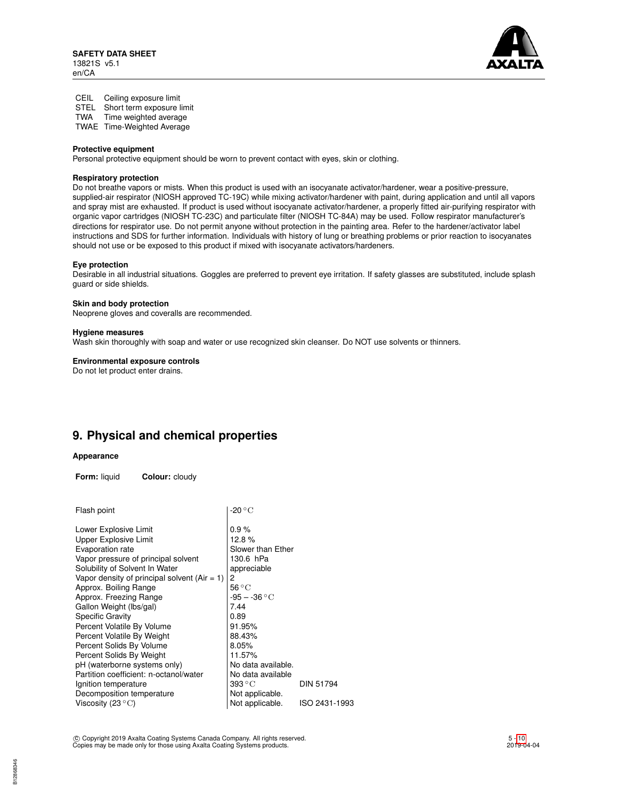

CEIL Ceiling exposure limit STEL Short term exposure limit<br>TWA Time weighted average

Time weighted average

TWAE Time-Weighted Average

#### **Protective equipment**

Personal protective equipment should be worn to prevent contact with eyes, skin or clothing.

#### **Respiratory protection**

Do not breathe vapors or mists. When this product is used with an isocyanate activator/hardener, wear a positive-pressure, supplied-air respirator (NIOSH approved TC-19C) while mixing activator/hardener with paint, during application and until all vapors and spray mist are exhausted. If product is used without isocyanate activator/hardener, a properly fitted air-purifying respirator with organic vapor cartridges (NIOSH TC-23C) and particulate filter (NIOSH TC-84A) may be used. Follow respirator manufacturer's directions for respirator use. Do not permit anyone without protection in the painting area. Refer to the hardener/activator label instructions and SDS for further information. Individuals with history of lung or breathing problems or prior reaction to isocyanates should not use or be exposed to this product if mixed with isocyanate activators/hardeners.

#### **Eye protection**

Desirable in all industrial situations. Goggles are preferred to prevent eye irritation. If safety glasses are substituted, include splash guard or side shields.

#### **Skin and body protection**

Neoprene gloves and coveralls are recommended.

#### **Hygiene measures**

Wash skin thoroughly with soap and water or use recognized skin cleanser. Do NOT use solvents or thinners.

#### **Environmental exposure controls**

Do not let product enter drains.

## **9. Physical and chemical properties**

#### **Appearance**

**Form:** liquid **Colour:** cloudy

| Flash point                                    | -20 $^{\circ}$ C          |                  |
|------------------------------------------------|---------------------------|------------------|
| Lower Explosive Limit                          | 0.9%                      |                  |
| <b>Upper Explosive Limit</b>                   | 12.8%                     |                  |
| Evaporation rate                               | Slower than Ether         |                  |
| Vapor pressure of principal solvent            | 130.6 hPa                 |                  |
| Solubility of Solvent In Water                 | appreciable               |                  |
| Vapor density of principal solvent $(Air = 1)$ | 2                         |                  |
| Approx. Boiling Range                          | $56^{\circ}$ C            |                  |
| Approx. Freezing Range                         | $-95 - -36 °C$            |                  |
| Gallon Weight (lbs/gal)                        | 7.44                      |                  |
| <b>Specific Gravity</b>                        | 0.89                      |                  |
| Percent Volatile By Volume                     | 91.95%                    |                  |
| Percent Volatile By Weight                     | 88.43%                    |                  |
| Percent Solids By Volume                       | 8.05%                     |                  |
| Percent Solids By Weight                       | 11.57%                    |                  |
| pH (waterborne systems only)                   | No data available.        |                  |
| Partition coefficient: n-octanol/water         | No data available         |                  |
| Ignition temperature                           | $393\,{}^\circ\mathrm{C}$ | <b>DIN 51794</b> |
| Decomposition temperature                      | Not applicable.           |                  |
| Viscosity (23 $\mathrm{^{\circ}C}$ )           | Not applicable.           | ISO 2431-1993    |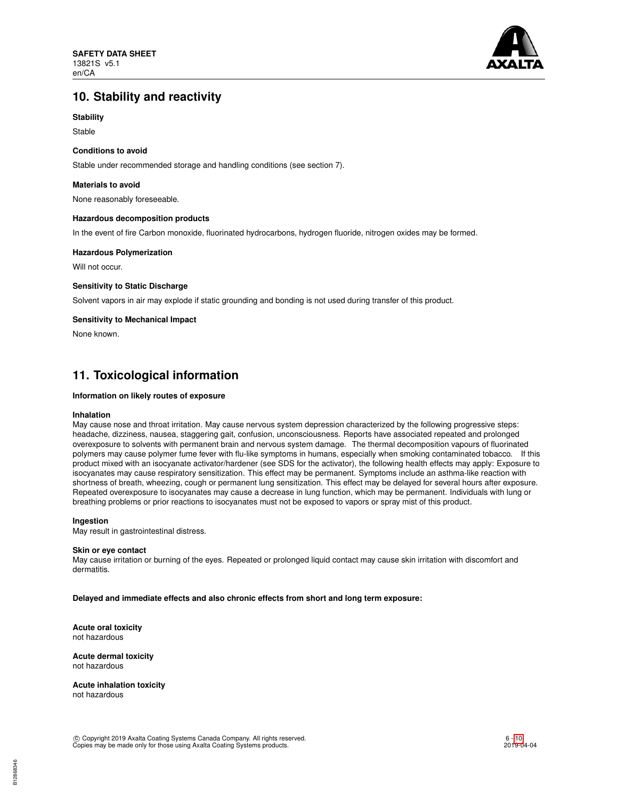

## **10. Stability and reactivity**

### **Stability**

Stable

#### **Conditions to avoid**

Stable under recommended storage and handling conditions (see section 7).

#### **Materials to avoid**

None reasonably foreseeable.

#### **Hazardous decomposition products**

In the event of fire Carbon monoxide, fluorinated hydrocarbons, hydrogen fluoride, nitrogen oxides may be formed.

#### **Hazardous Polymerization**

Will not occur.

### **Sensitivity to Static Discharge**

Solvent vapors in air may explode if static grounding and bonding is not used during transfer of this product.

#### **Sensitivity to Mechanical Impact**

None known.

### **11. Toxicological information**

#### **Information on likely routes of exposure**

#### **Inhalation**

May cause nose and throat irritation. May cause nervous system depression characterized by the following progressive steps: headache, dizziness, nausea, staggering gait, confusion, unconsciousness. Reports have associated repeated and prolonged overexposure to solvents with permanent brain and nervous system damage. The thermal decomposition vapours of fluorinated polymers may cause polymer fume fever with flu-like symptoms in humans, especially when smoking contaminated tobacco. If this product mixed with an isocyanate activator/hardener (see SDS for the activator), the following health effects may apply: Exposure to isocyanates may cause respiratory sensitization. This effect may be permanent. Symptoms include an asthma-like reaction with shortness of breath, wheezing, cough or permanent lung sensitization. This effect may be delayed for several hours after exposure. Repeated overexposure to isocyanates may cause a decrease in lung function, which may be permanent. Individuals with lung or breathing problems or prior reactions to isocyanates must not be exposed to vapors or spray mist of this product.

#### **Ingestion**

May result in gastrointestinal distress.

#### **Skin or eye contact**

May cause irritation or burning of the eyes. Repeated or prolonged liquid contact may cause skin irritation with discomfort and dermatitis.

**Delayed and immediate effects and also chronic effects from short and long term exposure:**

**Acute oral toxicity** not hazardous

**Acute dermal toxicity** not hazardous

**Acute inhalation toxicity** not hazardous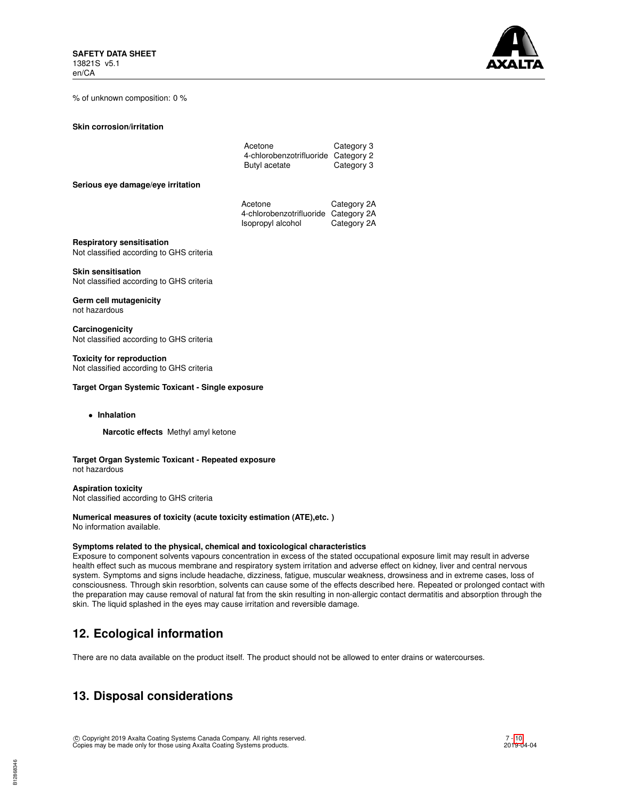

% of unknown composition: 0 %

**Skin corrosion/irritation**

| Acetone                             | Category 3 |
|-------------------------------------|------------|
| 4-chlorobenzotrifluoride Category 2 |            |
| Butyl acetate                       | Category 3 |

**Serious eye damage/eye irritation**

| Acetone                              | Category 2A |
|--------------------------------------|-------------|
| 4-chlorobenzotrifluoride Category 2A |             |
| Isopropyl alcohol                    | Category 2A |

**Respiratory sensitisation**

Not classified according to GHS criteria

**Skin sensitisation** Not classified according to GHS criteria

**Germ cell mutagenicity** not hazardous

**Carcinogenicity** Not classified according to GHS criteria

**Toxicity for reproduction** Not classified according to GHS criteria

#### **Target Organ Systemic Toxicant - Single exposure**

• **Inhalation**

**Narcotic effects** Methyl amyl ketone

**Target Organ Systemic Toxicant - Repeated exposure** not hazardous

**Aspiration toxicity** Not classified according to GHS criteria

**Numerical measures of toxicity (acute toxicity estimation (ATE),etc. )** No information available.

#### **Symptoms related to the physical, chemical and toxicological characteristics**

Exposure to component solvents vapours concentration in excess of the stated occupational exposure limit may result in adverse health effect such as mucous membrane and respiratory system irritation and adverse effect on kidney, liver and central nervous system. Symptoms and signs include headache, dizziness, fatigue, muscular weakness, drowsiness and in extreme cases, loss of consciousness. Through skin resorbtion, solvents can cause some of the effects described here. Repeated or prolonged contact with the preparation may cause removal of natural fat from the skin resulting in non-allergic contact dermatitis and absorption through the skin. The liquid splashed in the eyes may cause irritation and reversible damage.

## **12. Ecological information**

There are no data available on the product itself. The product should not be allowed to enter drains or watercourses.

## **13. Disposal considerations**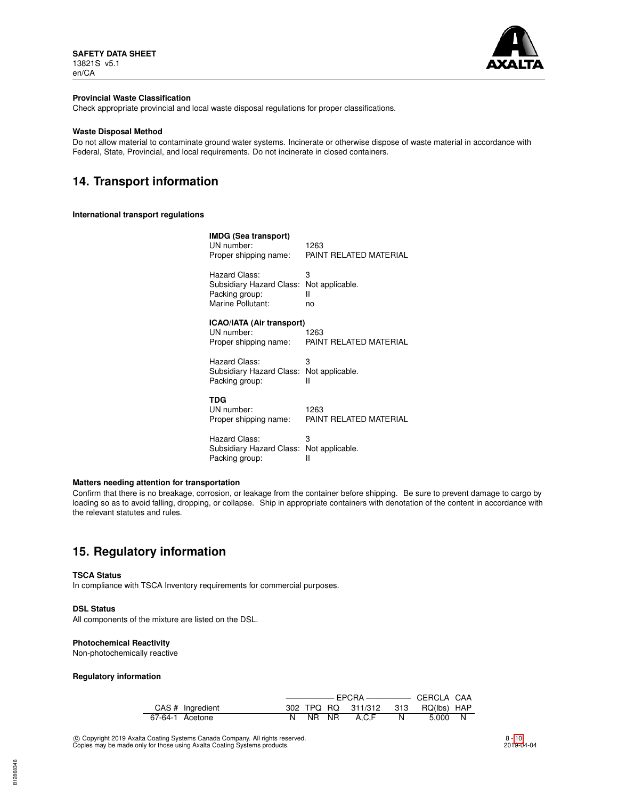

#### **Provincial Waste Classification**

Check appropriate provincial and local waste disposal regulations for proper classifications.

#### **Waste Disposal Method**

Do not allow material to contaminate ground water systems. Incinerate or otherwise dispose of waste material in accordance with Federal, State, Provincial, and local requirements. Do not incinerate in closed containers.

# **14. Transport information**

#### **International transport regulations**

| IMDG (Sea transport)<br>UN number:<br>Proper shipping name:                      | 1263<br>PAINT RELATED MATERIAL  |
|----------------------------------------------------------------------------------|---------------------------------|
| Hazard Class:<br>Subsidiary Hazard Class:<br>Packing group:<br>Marine Pollutant: | 3<br>Not applicable.<br>н<br>no |
| ICAO/IATA (Air transport)<br>UN number:<br>Proper shipping name:                 | 1263<br>PAINT RELATED MATERIAL  |
| Hazard Class:<br>Subsidiary Hazard Class:<br>Packing group:                      | 3<br>Not applicable.<br>н       |
| TDG<br>UN number:<br>Proper shipping name:                                       | 1263<br>PAINT RELATED MATERIAL  |
| Hazard Class:<br>Subsidiary Hazard Class: Not applicable.<br>Packing group:      | 3<br>Ш                          |

### **Matters needing attention for transportation**

Confirm that there is no breakage, corrosion, or leakage from the container before shipping. Be sure to prevent damage to cargo by loading so as to avoid falling, dropping, or collapse. Ship in appropriate containers with denotation of the content in accordance with the relevant statutes and rules.

## **15. Regulatory information**

#### **TSCA Status**

In compliance with TSCA Inventory requirements for commercial purposes.

#### **DSL Status**

All components of the mixture are listed on the DSL.

#### **Photochemical Reactivity**

Non-photochemically reactive

#### **Regulatory information**

| CAS # Ingredient |  | 302 TPQ RQ 311/312 313 RQ(lbs) HAP |     |         |  |
|------------------|--|------------------------------------|-----|---------|--|
| 67-64-1 Acetone  |  | NR NR A.C.F                        | N N | 5.000 N |  |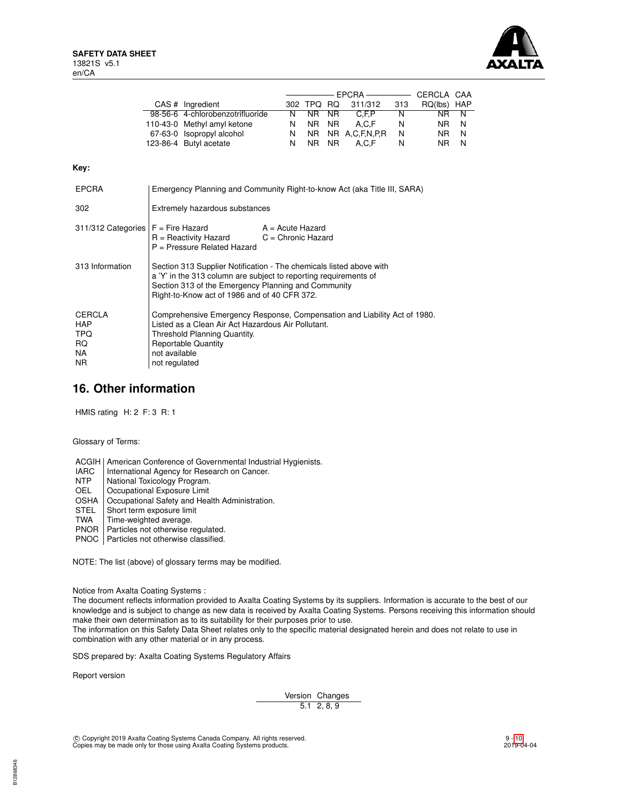

| CAS # Ingredient                 |    | 302 TPQ RQ |  | 311/312           | 313 | RQ(lbs) HAP |     |
|----------------------------------|----|------------|--|-------------------|-----|-------------|-----|
| 98-56-6 4-chlorobenzotrifluoride | N. | NR NR      |  | C.F.P             | N   | NR.         | N   |
| 110-43-0 Methyl amyl ketone      | N  | NR NR      |  | A.C.F             | N   | NR.         | - N |
| 67-63-0 Isopropyl alcohol        | N. |            |  | NR NR A,C,F,N,P,R | N   | NR.         | N   |
| 123-86-4 Butyl acetate           | N  | NR NR      |  | A.C.F             | N   | NR.         | N   |

### **Key:**

| <b>EPCRA</b>                                                   | Emergency Planning and Community Right-to-know Act (aka Title III, SARA)                                                                                                                                                                       |                    |  |  |
|----------------------------------------------------------------|------------------------------------------------------------------------------------------------------------------------------------------------------------------------------------------------------------------------------------------------|--------------------|--|--|
| 302                                                            | Extremely hazardous substances                                                                                                                                                                                                                 |                    |  |  |
| $311/312$ Categories $F =$ Fire Hazard                         | $R =$ Reactivity Hazard $C =$ Chronic Hazard<br>P = Pressure Related Hazard                                                                                                                                                                    | $A = Acute$ Hazard |  |  |
| 313 Information                                                | Section 313 Supplier Notification - The chemicals listed above with<br>a 'Y' in the 313 column are subject to reporting requirements of<br>Section 313 of the Emergency Planning and Community<br>Right-to-Know act of 1986 and of 40 CFR 372. |                    |  |  |
| <b>CERCLA</b><br><b>HAP</b><br><b>TPQ</b><br>RQ.<br>NA.<br>NR. | Comprehensive Emergency Response, Compensation and Liability Act of 1980.<br>Listed as a Clean Air Act Hazardous Air Pollutant.<br>Threshold Planning Quantity.<br><b>Reportable Quantity</b><br>not available<br>not regulated                |                    |  |  |

### **16. Other information**

HMIS rating H: 2 F: 3 R: 1

Glossary of Terms:

ACGIH | American Conference of Governmental Industrial Hygienists.<br>
IARC | International Agency for Research on Cancer.

- IARC | International Agency for Research on Cancer.<br>NTP | National Toxicology Program.
- NTP National Toxicology Program.<br>OEL Occupational Exposure Limit
- 
- OEL Cccupational Exposure Limit<br>
OSHA Cccupational Safety and Hea OSHA Occupational Safety and Health Administration.<br>STEL Short term exposure limit
- STEL Short term exposure limit<br>TWA Time-weighted average.
- Time-weighted average.
- PNOR | Particles not otherwise regulated.
- PNOC Particles not otherwise classified.

NOTE: The list (above) of glossary terms may be modified.

Notice from Axalta Coating Systems :

The document reflects information provided to Axalta Coating Systems by its suppliers. Information is accurate to the best of our knowledge and is subject to change as new data is received by Axalta Coating Systems. Persons receiving this information should make their own determination as to its suitability for their purposes prior to use.

The information on this Safety Data Sheet relates only to the specific material designated herein and does not relate to use in combination with any other material or in any process.

SDS prepared by: Axalta Coating Systems Regulatory Affairs

Report version

Version Changes 5.1 2, 8, 9